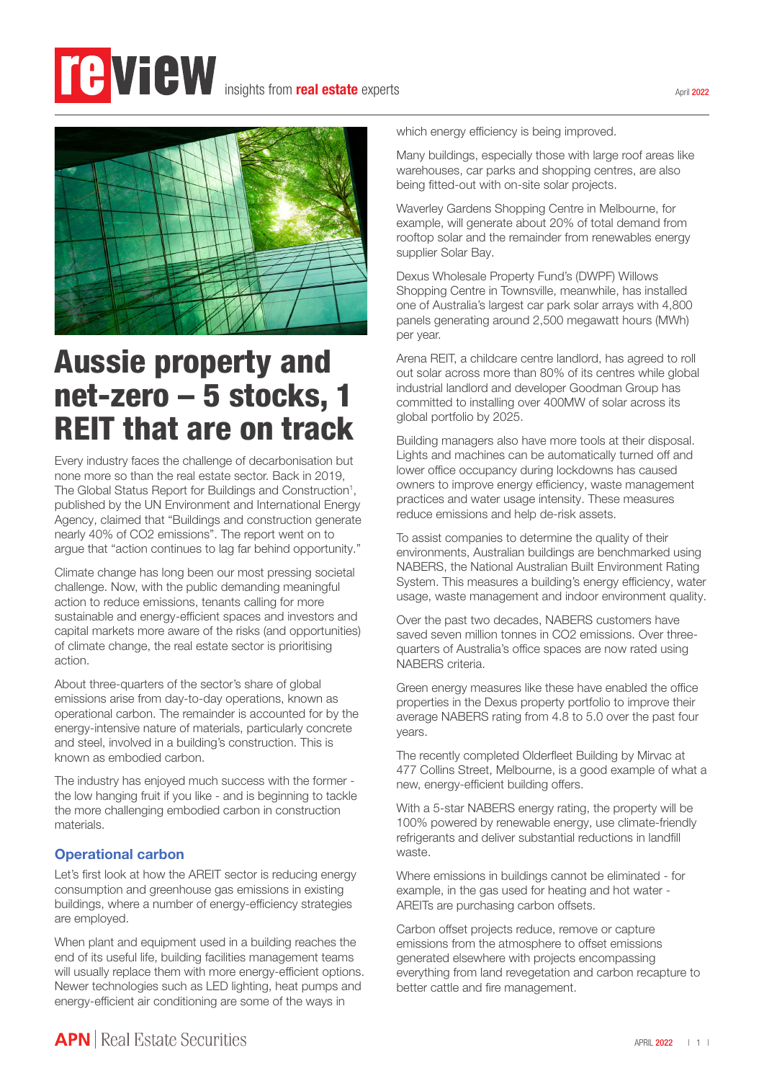## **Te View** insights from **real estate** experts



# Aussie property and net-zero – 5 stocks, 1 REIT that are on track

Every industry faces the challenge of decarbonisation but none more so than the real estate sector. Back in 2019, The Global Status Report for Buildings and Construction<sup>1</sup>, published by the UN Environment and International Energy Agency, claimed that "Buildings and construction generate nearly 40% of CO2 emissions". The report went on to argue that "action continues to lag far behind opportunity."

Climate change has long been our most pressing societal challenge. Now, with the public demanding meaningful action to reduce emissions, tenants calling for more sustainable and energy-efficient spaces and investors and capital markets more aware of the risks (and opportunities) of climate change, the real estate sector is prioritising action.

About three-quarters of the sector's share of global emissions arise from day-to-day operations, known as operational carbon. The remainder is accounted for by the energy-intensive nature of materials, particularly concrete and steel, involved in a building's construction. This is known as embodied carbon.

The industry has enjoyed much success with the former the low hanging fruit if you like - and is beginning to tackle the more challenging embodied carbon in construction materials.

### Operational carbon

Let's first look at how the AREIT sector is reducing energy consumption and greenhouse gas emissions in existing buildings, where a number of energy-efficiency strategies are employed.

When plant and equipment used in a building reaches the end of its useful life, building facilities management teams will usually replace them with more energy-efficient options. Newer technologies such as LED lighting, heat pumps and energy-efficient air conditioning are some of the ways in

which energy efficiency is being improved.

Many buildings, especially those with large roof areas like warehouses, car parks and shopping centres, are also being fitted-out with on-site solar projects.

Waverley Gardens Shopping Centre in Melbourne, for example, will generate about 20% of total demand from rooftop solar and the remainder from renewables energy supplier Solar Bay.

Dexus Wholesale Property Fund's (DWPF) Willows Shopping Centre in Townsville, meanwhile, has installed one of Australia's largest car park solar arrays with 4,800 panels generating around 2,500 megawatt hours (MWh) per year.

Arena REIT, a childcare centre landlord, has agreed to roll out solar across more than 80% of its centres while global industrial landlord and developer Goodman Group has committed to installing over 400MW of solar across its global portfolio by 2025.

Building managers also have more tools at their disposal. Lights and machines can be automatically turned off and lower office occupancy during lockdowns has caused owners to improve energy efficiency, waste management practices and water usage intensity. These measures reduce emissions and help de-risk assets.

To assist companies to determine the quality of their environments, Australian buildings are benchmarked using NABERS, the National Australian Built Environment Rating System. This measures a building's energy efficiency, water usage, waste management and indoor environment quality.

Over the past two decades, NABERS customers have saved seven million tonnes in CO2 emissions. Over threequarters of Australia's office spaces are now rated using NABERS criteria.

Green energy measures like these have enabled the office properties in the Dexus property portfolio to improve their average NABERS rating from 4.8 to 5.0 over the past four years.

The recently completed Olderfleet Building by Mirvac at 477 Collins Street, Melbourne, is a good example of what a new, energy-efficient building offers.

With a 5-star NABERS energy rating, the property will be 100% powered by renewable energy, use climate-friendly refrigerants and deliver substantial reductions in landfill waste.

Where emissions in buildings cannot be eliminated - for example, in the gas used for heating and hot water - AREITs are purchasing carbon offsets.

Carbon offset projects reduce, remove or capture emissions from the atmosphere to offset emissions generated elsewhere with projects encompassing everything from land revegetation and carbon recapture to better cattle and fire management.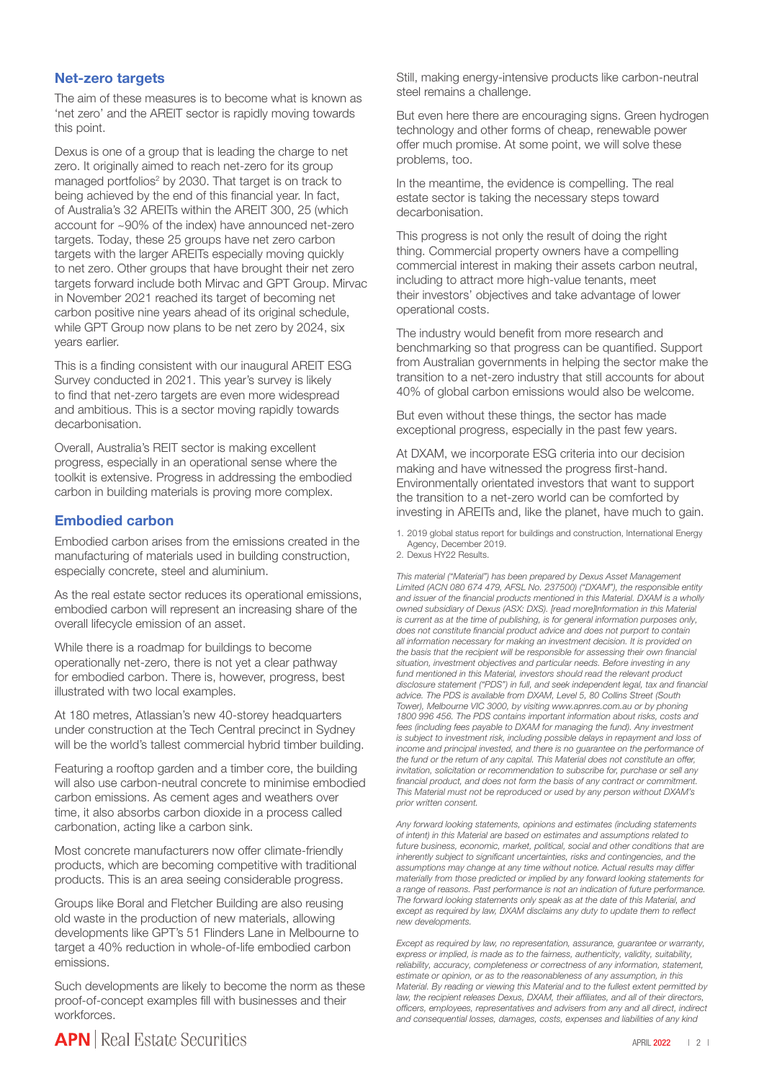#### Net-zero targets

The aim of these measures is to become what is known as 'net zero' and the AREIT sector is rapidly moving towards this point.

Dexus is one of a group that is leading the charge to net zero. It originally aimed to reach net-zero for its group managed portfolios<sup>2</sup> by 2030. That target is on track to being achieved by the end of this financial year. In fact, of Australia's 32 AREITs within the AREIT 300, 25 (which account for ~90% of the index) have announced net-zero targets. Today, these 25 groups have net zero carbon targets with the larger AREITs especially moving quickly to net zero. Other groups that have brought their net zero targets forward include both Mirvac and GPT Group. Mirvac in November 2021 reached its target of becoming net carbon positive nine years ahead of its original schedule, while GPT Group now plans to be net zero by 2024, six years earlier.

This is a finding consistent with our inaugural AREIT ESG Survey conducted in 2021. This year's survey is likely to find that net-zero targets are even more widespread and ambitious. This is a sector moving rapidly towards decarbonisation.

Overall, Australia's REIT sector is making excellent progress, especially in an operational sense where the toolkit is extensive. Progress in addressing the embodied carbon in building materials is proving more complex.

#### Embodied carbon

Embodied carbon arises from the emissions created in the manufacturing of materials used in building construction, especially concrete, steel and aluminium.

As the real estate sector reduces its operational emissions, embodied carbon will represent an increasing share of the overall lifecycle emission of an asset.

While there is a roadmap for buildings to become operationally net-zero, there is not yet a clear pathway for embodied carbon. There is, however, progress, best illustrated with two local examples.

At 180 metres, Atlassian's new 40-storey headquarters under construction at the Tech Central precinct in Sydney will be the world's tallest commercial hybrid timber building.

Featuring a rooftop garden and a timber core, the building will also use carbon-neutral concrete to minimise embodied carbon emissions. As cement ages and weathers over time, it also absorbs carbon dioxide in a process called carbonation, acting like a carbon sink.

Most concrete manufacturers now offer climate-friendly products, which are becoming competitive with traditional products. This is an area seeing considerable progress.

Groups like Boral and Fletcher Building are also reusing old waste in the production of new materials, allowing developments like GPT's 51 Flinders Lane in Melbourne to target a 40% reduction in whole-of-life embodied carbon emissions.

Such developments are likely to become the norm as these proof-of-concept examples fill with businesses and their workforces.

Still, making energy-intensive products like carbon-neutral steel remains a challenge.

But even here there are encouraging signs. Green hydrogen technology and other forms of cheap, renewable power offer much promise. At some point, we will solve these problems, too.

In the meantime, the evidence is compelling. The real estate sector is taking the necessary steps toward decarbonisation.

This progress is not only the result of doing the right thing. Commercial property owners have a compelling commercial interest in making their assets carbon neutral, including to attract more high-value tenants, meet their investors' objectives and take advantage of lower operational costs.

The industry would benefit from more research and benchmarking so that progress can be quantified. Support from Australian governments in helping the sector make the transition to a net-zero industry that still accounts for about 40% of global carbon emissions would also be welcome.

But even without these things, the sector has made exceptional progress, especially in the past few years.

At DXAM, we incorporate ESG criteria into our decision making and have witnessed the progress first-hand. Environmentally orientated investors that want to support the transition to a net-zero world can be comforted by investing in AREITs and, like the planet, have much to gain.

1. 2019 global status report for buildings and construction, International Energy Agency, December 2019.

2. Dexus HY22 Results.

*This material ("Material") has been prepared by Dexus Asset Management Limited (ACN 080 674 479, AFSL No. 237500) ("DXAM"), the responsible entity and issuer of the financial products mentioned in this Material. DXAM is a wholly owned subsidiary of Dexus (ASX: DXS). [read more]Information in this Material is current as at the time of publishing, is for general information purposes only, does not constitute financial product advice and does not purport to contain all information necessary for making an investment decision. It is provided on the basis that the recipient will be responsible for assessing their own financial situation, investment objectives and particular needs. Before investing in any fund mentioned in this Material, investors should read the relevant product disclosure statement ("PDS") in full, and seek independent legal, tax and financial advice. The PDS is available from DXAM, Level 5, 80 Collins Street (South Tower), Melbourne VIC 3000, by visiting www.apnres.com.au or by phoning 1800 996 456. The PDS contains important information about risks, costs and fees (including fees payable to DXAM for managing the fund). Any investment is subject to investment risk, including possible delays in repayment and loss of income and principal invested, and there is no guarantee on the performance of the fund or the return of any capital. This Material does not constitute an offer, invitation, solicitation or recommendation to subscribe for, purchase or sell any financial product, and does not form the basis of any contract or commitment. This Material must not be reproduced or used by any person without DXAM's prior written consent.*

*Any forward looking statements, opinions and estimates (including statements of intent) in this Material are based on estimates and assumptions related to future business, economic, market, political, social and other conditions that are inherently subject to significant uncertainties, risks and contingencies, and the assumptions may change at any time without notice. Actual results may differ materially from those predicted or implied by any forward looking statements for a range of reasons. Past performance is not an indication of future performance. The forward looking statements only speak as at the date of this Material, and except as required by law, DXAM disclaims any duty to update them to reflect new developments.*

*Except as required by law, no representation, assurance, guarantee or warranty, express or implied, is made as to the fairness, authenticity, validity, suitability, reliability, accuracy, completeness or correctness of any information, statement, estimate or opinion, or as to the reasonableness of any assumption, in this Material. By reading or viewing this Material and to the fullest extent permitted by*  law, the recipient releases Dexus, DXAM, their affiliates, and all of their directors, *officers, employees, representatives and advisers from any and all direct, indirect and consequential losses, damages, costs, expenses and liabilities of any kind*